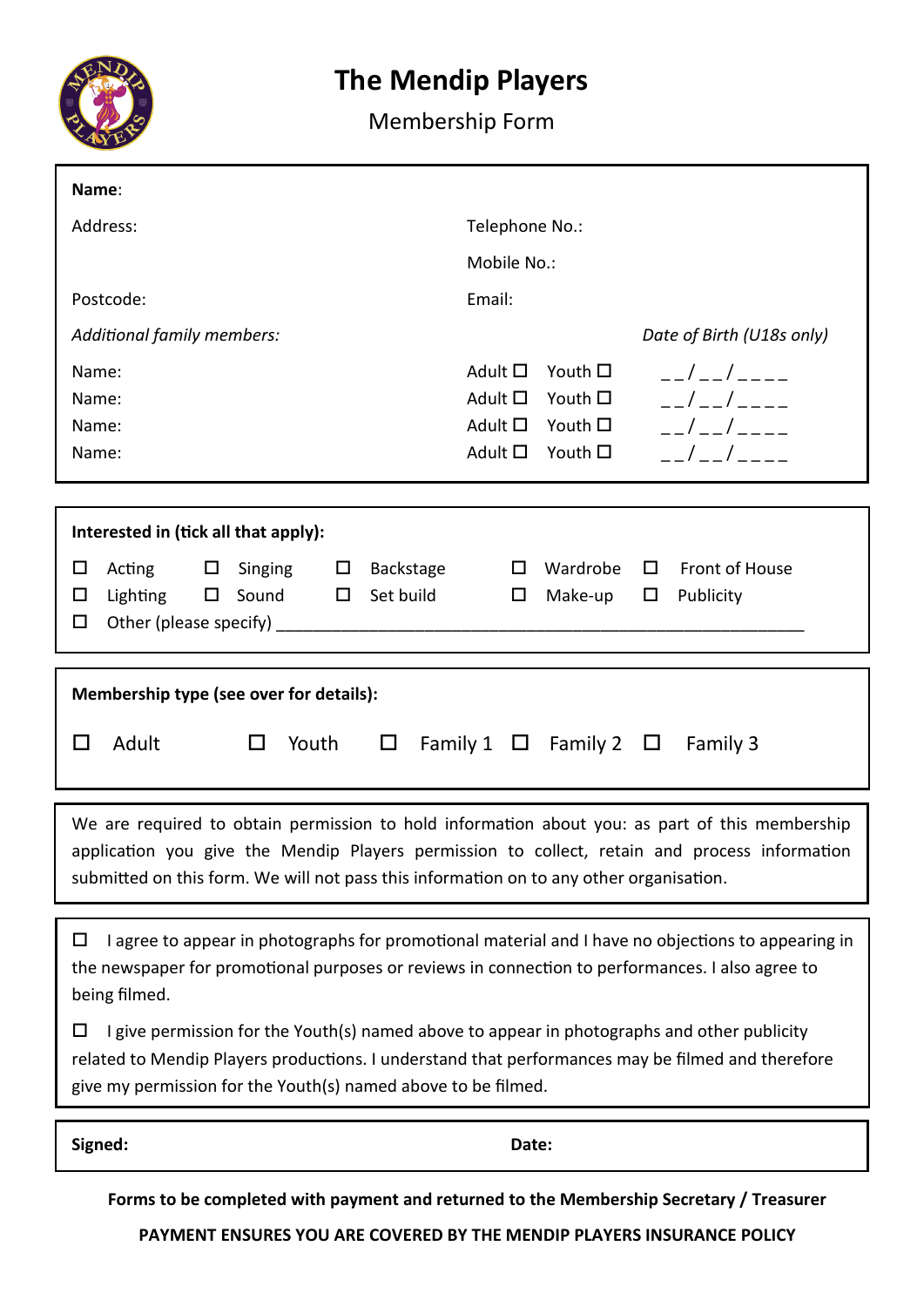

## **The Mendip Players**

## Membership Form

| Name:                                                                                                                                                                                    |                                                                                                 |  |  |  |  |
|------------------------------------------------------------------------------------------------------------------------------------------------------------------------------------------|-------------------------------------------------------------------------------------------------|--|--|--|--|
| Address:                                                                                                                                                                                 | Telephone No.:                                                                                  |  |  |  |  |
|                                                                                                                                                                                          | Mobile No.:                                                                                     |  |  |  |  |
| Postcode:                                                                                                                                                                                | Email:                                                                                          |  |  |  |  |
| Additional family members:                                                                                                                                                               | Date of Birth (U18s only)                                                                       |  |  |  |  |
| Name:                                                                                                                                                                                    | Adult $\square$<br>Youth $\square$<br>$  /$ $    -$                                             |  |  |  |  |
| Name:                                                                                                                                                                                    | $  /$ $    -$<br>Adult $\square$<br>Youth $\square$                                             |  |  |  |  |
| Name:<br>Name:                                                                                                                                                                           | $  /$ $    -$<br>Adult $\Box$ Youth $\Box$<br>$-1$ $-1$ $ -$<br>Adult $\square$<br>Youth $\Box$ |  |  |  |  |
|                                                                                                                                                                                          |                                                                                                 |  |  |  |  |
|                                                                                                                                                                                          |                                                                                                 |  |  |  |  |
| Interested in (tick all that apply):                                                                                                                                                     |                                                                                                 |  |  |  |  |
| Acting $\Box$<br>Singing $\qquad \Box$<br>Backstage<br>◻<br>Lighting $\Box$ Sound $\Box$ Set build<br>□                                                                                  | $\Box$ Front of House<br>Wardrobe<br>$\Box$<br>$\Box$<br>$\Box$                                 |  |  |  |  |
| □                                                                                                                                                                                        | Make-up<br>Publicity                                                                            |  |  |  |  |
|                                                                                                                                                                                          |                                                                                                 |  |  |  |  |
| Membership type (see over for details):                                                                                                                                                  |                                                                                                 |  |  |  |  |
| Adult<br>Youth<br>$\Box$<br>$\Box$<br>Ш                                                                                                                                                  | Family 1 $\Box$ Family 2 $\Box$<br>Family 3                                                     |  |  |  |  |
|                                                                                                                                                                                          |                                                                                                 |  |  |  |  |
|                                                                                                                                                                                          |                                                                                                 |  |  |  |  |
| We are required to obtain permission to hold information about you: as part of this membership                                                                                           |                                                                                                 |  |  |  |  |
| application you give the Mendip Players permission to collect, retain and process information<br>submitted on this form. We will not pass this information on to any other organisation. |                                                                                                 |  |  |  |  |
|                                                                                                                                                                                          |                                                                                                 |  |  |  |  |
| I agree to appear in photographs for promotional material and I have no objections to appearing in<br>◻                                                                                  |                                                                                                 |  |  |  |  |
| the newspaper for promotional purposes or reviews in connection to performances. I also agree to                                                                                         |                                                                                                 |  |  |  |  |
| being filmed.                                                                                                                                                                            |                                                                                                 |  |  |  |  |
| I give permission for the Youth(s) named above to appear in photographs and other publicity<br>□                                                                                         |                                                                                                 |  |  |  |  |
| related to Mendip Players productions. I understand that performances may be filmed and therefore<br>give my permission for the Youth(s) named above to be filmed.                       |                                                                                                 |  |  |  |  |
|                                                                                                                                                                                          |                                                                                                 |  |  |  |  |
| Signed:<br>Date:                                                                                                                                                                         |                                                                                                 |  |  |  |  |
|                                                                                                                                                                                          |                                                                                                 |  |  |  |  |

**Forms to be completed with payment and returned to the Membership Secretary / Treasurer**

**PAYMENT ENSURES YOU ARE COVERED BY THE MENDIP PLAYERS INSURANCE POLICY**